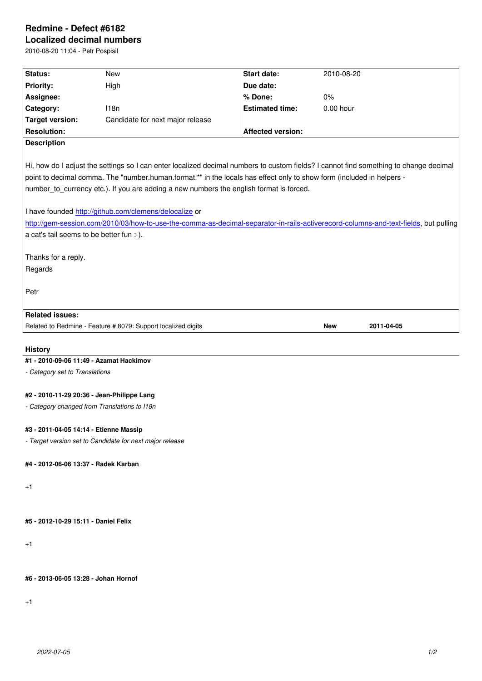## **Localized decimal numbers**

2010-08-20 11:04 - Petr Pospisil

| 2010-00-20 11.04 - 1 <del>c</del> u i 0spisii |                                                                                                                                       |                          |                          |  |
|-----------------------------------------------|---------------------------------------------------------------------------------------------------------------------------------------|--------------------------|--------------------------|--|
| Status:                                       | <b>New</b>                                                                                                                            | <b>Start date:</b>       | 2010-08-20               |  |
| <b>Priority:</b>                              | High                                                                                                                                  | Due date:                |                          |  |
| Assignee:                                     |                                                                                                                                       | % Done:                  | 0%                       |  |
| Category:                                     | 118n                                                                                                                                  | <b>Estimated time:</b>   | 0.00 hour                |  |
| <b>Target version:</b>                        | Candidate for next major release                                                                                                      |                          |                          |  |
| <b>Resolution:</b>                            |                                                                                                                                       | <b>Affected version:</b> |                          |  |
| <b>Description</b>                            |                                                                                                                                       |                          |                          |  |
|                                               | Hi, how do I adjust the settings so I can enter localized decimal numbers to custom fields? I cannot find something to change decimal |                          |                          |  |
|                                               | point to decimal comma. The "number.human.format.*" in the locals has effect only to show form (included in helpers -                 |                          |                          |  |
|                                               | number_to_currency etc.). If you are adding a new numbers the english format is forced.                                               |                          |                          |  |
|                                               | I have founded http://github.com/clemens/delocalize or                                                                                |                          |                          |  |
|                                               | http://gem-session.com/2010/03/how-to-use-the-comma-as-decimal-separator-in-rails-activerecord-columns-and-text-fields, but pulling   |                          |                          |  |
| a cat's tail seems to be better fun :-).      |                                                                                                                                       |                          |                          |  |
|                                               |                                                                                                                                       |                          |                          |  |
| Thanks for a reply.                           |                                                                                                                                       |                          |                          |  |
| Regards                                       |                                                                                                                                       |                          |                          |  |
|                                               |                                                                                                                                       |                          |                          |  |
| Petr                                          |                                                                                                                                       |                          |                          |  |
|                                               |                                                                                                                                       |                          |                          |  |
| <b>Related issues:</b>                        |                                                                                                                                       |                          |                          |  |
|                                               | Related to Redmine - Feature # 8079: Support localized digits                                                                         |                          | <b>New</b><br>2011-04-05 |  |
|                                               |                                                                                                                                       |                          |                          |  |
| <b>History</b>                                |                                                                                                                                       |                          |                          |  |
| #1 - 2010-09-06 11:49 - Azamat Hackimov       |                                                                                                                                       |                          |                          |  |
| - Category set to Translations                |                                                                                                                                       |                          |                          |  |
| #2 - 2010-11-29 20:36 - Jean-Philippe Lang    |                                                                                                                                       |                          |                          |  |
| - Category changed from Translations to I18n  |                                                                                                                                       |                          |                          |  |
|                                               |                                                                                                                                       |                          |                          |  |
| #3 - 2011-04-05 14:14 - Etienne Massip        |                                                                                                                                       |                          |                          |  |
|                                               | - Target version set to Candidate for next major release                                                                              |                          |                          |  |
| #4 - 2012-06-06 13:37 - Radek Karban          |                                                                                                                                       |                          |                          |  |
| $+1$                                          |                                                                                                                                       |                          |                          |  |
|                                               |                                                                                                                                       |                          |                          |  |
| #5 - 2012-10-29 15:11 - Daniel Felix          |                                                                                                                                       |                          |                          |  |
|                                               |                                                                                                                                       |                          |                          |  |

 $+1$ 

**#6 - 2013-06-05 13:28 - Johan Hornof**

+1